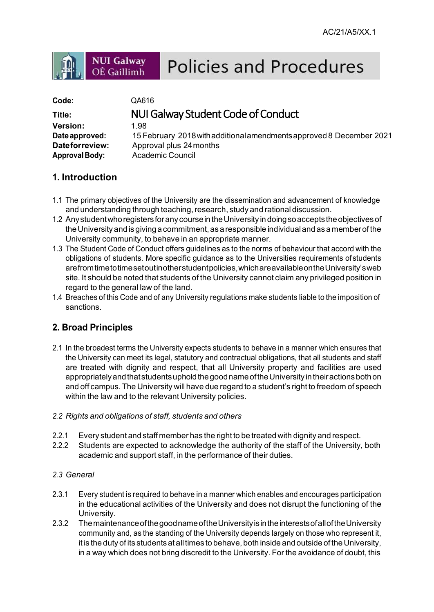# **Policies and Procedures**

| Code:                 | QA616                                                                |
|-----------------------|----------------------------------------------------------------------|
| Title:                | NUI Galway Student Code of Conduct                                   |
| <b>Version:</b>       | 1.98                                                                 |
| Date approved:        | 15 February 2018 with additional amendments approved 8 December 2021 |
| Dateforreview:        | Approval plus 24 months                                              |
| <b>Approval Body:</b> | <b>Academic Council</b>                                              |

# **1. Introduction**

**NUI Galway** 

OÉ Gaillimh

- 1.1 The primary objectives of the University are the dissemination and advancement of knowledge and understanding through teaching, research, study and rational discussion.
- 1.2 AnystudentwhoregistersforanycourseintheUniversity indoingsoacceptstheobjectivesof theUniversityand isgiving a commitment, as a responsible individualandas a memberof the University community, to behave in an appropriate manner.
- 1.3 The Student Code of Conduct offers guidelines as to the norms of behaviour that accord with the obligations of students. More specific guidance as to the Universities requirements ofstudents arefromtimetotimesetoutinotherstudentpolicies,whichareavailableontheUniversity'sweb site. It should be noted that students of the University cannot claim any privileged position in regard to the general law of the land.
- 1.4 Breaches of this Code and of any University regulations make students liable to the imposition of sanctions.

# **2. Broad Principles**

- 2.1 In the broadest terms the University expects students to behave in a manner which ensures that the University can meet its legal, statutory and contractual obligations, that all students and staff are treated with dignity and respect, that all University property and facilities are used appropriately and that students uphold the good name of the University in their actions both on and off campus. The University will have due regard to a student's right to freedom of speech within the law and to the relevant University policies.
- *2.2 Rights and obligations of staff, students and others*
- 2.2.1 Every student and staff member has the right to be treated with dignity and respect.
- 2.2.2 Students are expected to acknowledge the authority of the staff of the University, both academic and support staff, in the performance of their duties.

## *2.3 General*

- 2.3.1 Every student is required to behave in a manner which enables and encourages participation in the educational activities of the University and does not disrupt the functioning of the University.
- 2.3.2 ThemaintenanceofthegoodnameoftheUniversityisintheinterestsofalloftheUniversity community and, as the standing of the University depends largely on those who represent it, it is the duty of its students at all times to behave, both inside and outside of the University, in a way which does not bring discredit to the University. For the avoidance of doubt, this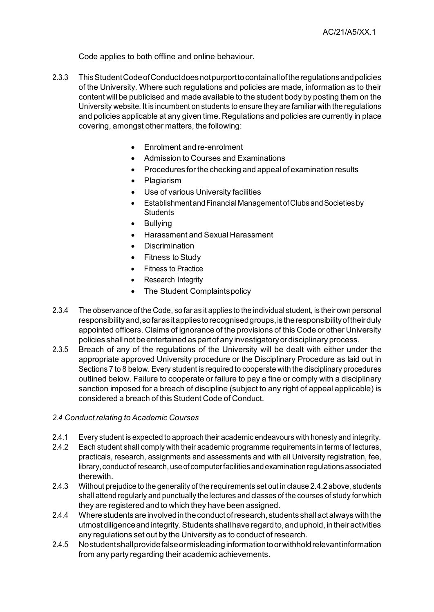Code applies to both offline and online behaviour.

- 2.3.3 ThisStudentCodeofConductdoesnotpurporttocontainalloftheregulationsandpolicies of the University. Where such regulations and policies are made, information as to their content will be publicised and made available to the student body by posting them on the University website. It is incumbent on students to ensure they are familiar with the regulations and policies applicable at any given time. Regulations and policies are currently in place covering, amongst other matters, the following:
	- Enrolment and re-enrolment
	- Admission to Courses and Examinations
	- Procedures forthe checking and appeal of examination results
	- Plagiarism
	- Use of various University facilities
	- EstablishmentandFinancial Management ofClubs andSocietiesby **Students**
	- **Bullving**
	- Harassment and Sexual Harassment
	- **Discrimination**
	- Fitness to Study
	- Fitness to Practice
	- Research Integrity
	- The Student Complaintspolicy
- 2.3.4 The observance of the Code, so far as it applies to the individual student, is their own personal responsibility and, so far as it applies to recognised groups, is the responsibility of their duly appointed officers. Claims of ignorance of the provisions of this Code or other University policies shallnot beentertained aspartofany investigatoryordisciplinary process.
- 2.3.5 Breach of any of the regulations of the University will be dealt with either under the appropriate approved University procedure or the Disciplinary Procedure as laid out in Sections 7 to 8 below. Every student is required to cooperate with the disciplinary procedures outlined below. Failure to cooperate or failure to pay a fine or comply with a disciplinary sanction imposed for a breach of discipline (subject to any right of appeal applicable) is considered a breach of this Student Code of Conduct.

#### *2.4 Conduct relating to Academic Courses*

- 2.4.1 Every student is expected to approach their academic endeavours with honesty and integrity.
- 2.4.2 Each student shall comply with their academic programme requirements in terms of lectures, practicals, research, assignments and assessments and with all University registration, fee, library, conduct ofresearch, use of computerfacilities and examinationregulations associated therewith.
- 2.4.3 Without prejudice to the generality of the requirements set out in clause 2.4.2 above, students shall attend regularly and punctually the lectures and classes of the courses of study for which they are registered and to which they have been assigned.
- 2.4.4 Wherestudentsareinvolvedintheconductofresearch,students shallactalways withthe utmostdiligenceandintegrity.Students shallhaveregardto,anduphold, intheiractivities any regulations set out by the University as to conduct of research.
- 2.4.5 Nostudentshallprovidefalseormisleadinginformationtoorwithholdrelevantinformation from any party regarding their academic achievements.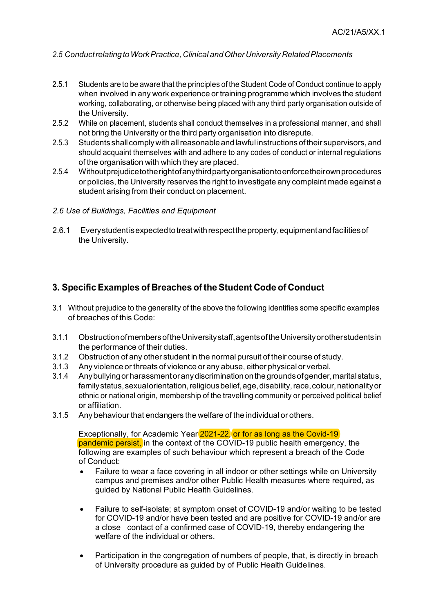## *2.5 ConductrelatingtoWorkPractice,Clinical andOtherUniversity RelatedPlacements*

- 2.5.1 Students are to be aware that the principles of the Student Code of Conduct continue to apply when involved in any work experience or training programme which involves the student working, collaborating, or otherwise being placed with any third party organisation outside of the University.
- 2.5.2 While on placement, students shall conduct themselves in a professional manner, and shall not bring the University or the third party organisation into disrepute.
- 2.5.3 Students shall comply with all reasonable and lawful instructions of their supervisors, and should acquaint themselves with and adhere to any codes of conduct or internal regulations of the organisation with which they are placed.
- 2.5.4 Without prejudice to the right of anythird party organisation to enforce their own procedures or policies, the University reserves the right to investigate any complaint made against a student arising from their conduct on placement.
- *2.6 Use of Buildings, Facilities and Equipment*
- 2.6.1 Everystudentisexpectedtotreatwithrespecttheproperty,equipmentandfacilitiesof the University.

# **3. Specific Examples of Breaches of the Student Code of Conduct**

- 3.1 Without prejudice to the generality of the above the following identifies some specific examples of breaches of this Code:
- 3.1.1 ObstructionofmembersoftheUniversitystaff,agentsoftheUniversityorotherstudentsin the performance of their duties.
- 3.1.2 Obstruction of any other student in the normal pursuit of their course of study.
- 3.1.3 Any violence or threats of violence or any abuse, either physical or verbal.
- 3.1.4 Anybullyingor harassmentoranydiscriminationonthegroundsofgender,maritalstatus, family status, sexual orientation, religious belief, age, disability, race, colour, nationality or ethnic or national origin, membership of the travelling community or perceived political belief or affiliation.
- 3.1.5 Any behaviour that endangers the welfare of the individual or others.

Exceptionally, for Academic Year 2021-22, or for as long as the Covid-19 pandemic persist, in the context of the COVID-19 public health emergency, the following are examples of such behaviour which represent a breach of the Code of Conduct:

- Failure to wear a face covering in all indoor or other settings while on University campus and premises and/or other Public Health measures where required, as guided by National Public Health Guidelines.
- Failure to self-isolate; at symptom onset of COVID-19 and/or waiting to be tested for COVID-19 and/or have been tested and are positive for COVID-19 and/or are a close contact of a confirmed case of COVID-19, thereby endangering the welfare of the individual or others.
- Participation in the congregation of numbers of people, that, is directly in breach of University procedure as guided by of Public Health Guidelines.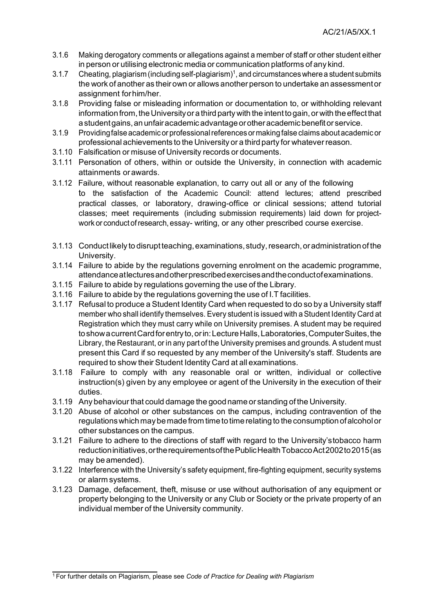- 3.1.6 Making derogatory comments or allegations against a member of staff or other student either in person or utilising electronic media or communication platforms of any kind.
- 3.1.7 Cheating, plagiarism (including self-plagiarism)<sup>1</sup>, and circumstances where a student submits the work of another as their own or allows another person to undertake an assessment or assignment forhim/her.
- 3.1.8 Providing false or misleading information or documentation to, or withholding relevant information from, the University or a third party with the intent to gain, or with the effect that a studentgains,anunfairacademicadvantageorotheracademicbenefitor service.
- 3.1.9 Providingfalse academic or professionalreferences ormaking false claims aboutacademic or professional achievements to the University or a third party for whateverreason.
- 3.1.10 Falsification or misuse of University records or documents.
- 3.1.11 Personation of others, within or outside the University, in connection with academic attainments orawards.
- 3.1.12 Failure, without reasonable explanation, to carry out all or any of the following to the satisfaction of the Academic Council: attend lectures; attend prescribed practical classes, or laboratory, drawing-office or clinical sessions; attend tutorial classes; meet requirements (including submission requirements) laid down for projectwork or conduct of research, essay- writing, or any other prescribed course exercise.
- 3.1.13 Conductlikely to disruptteaching,examinations,study,research,oradministrationof the University.
- 3.1.14 Failure to abide by the regulations governing enrolment on the academic programme, attendanceatlecturesandotherprescribedexercisesandtheconductofexaminations.
- 3.1.15 Failure to abide by regulations governing the use of the Library.
- 3.1.16 Failure to abide by the regulations governing the use of I.T facilities.
- 3.1.17 Refusal to produce a Student Identity Card when requested to do so by a University staff member who shall identify themselves. Every student is issued with a Student Identity Card at Registration which they must carry while on University premises. A student may be required toshow a currentCardforentryto,orin:LectureHalls,Laboratories,ComputerSuites,the Library, the Restaurant, or in any part of the University premises and grounds. A student must present this Card if so requested by any member of the University's staff. Students are required to show their Student Identity Card at all examinations.
- 3.1.18 Failure to comply with any reasonable oral or written, individual or collective instruction(s) given by any employee or agent of the University in the execution of their duties.
- 3.1.19 Any behaviourthat could damage the goodname or standing of the University.
- 3.1.20 Abuse of alcohol or other substances on the campus, including contravention of the regulations which may be made from time to time relating to the consumption of alcohol or other substances on the campus.
- 3.1.21 Failure to adhere to the directions of staff with regard to the University'stobacco harm reductioninitiatives,ortherequirementsofthePublicHealthTobaccoAct2002to2015(as may be amended).
- 3.1.22 Interference with the University's safety equipment, fire-fighting equipment, security systems or alarm systems.
- 3.1.23 Damage, defacement, theft, misuse or use without authorisation of any equipment or property belonging to the University or any Club or Society or the private property of an individual member of the University community.

<sup>1</sup> For further details on Plagiarism, please see *Code of Practice for Dealing with Plagiarism*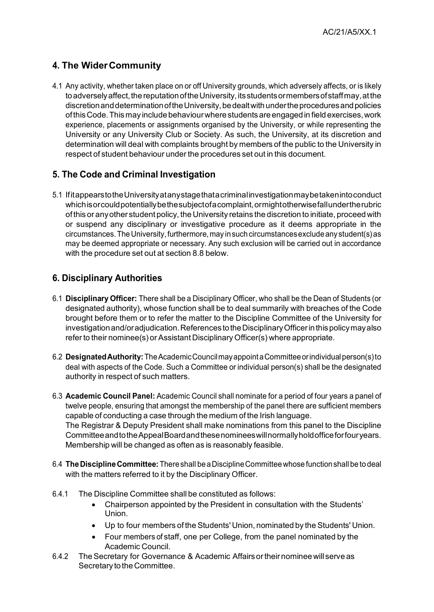# **4. The WiderCommunity**

4.1 Any activity, whether taken place on or off University grounds, which adversely affects, or is likely to adversely affect, the reputation of the University, its students or members of staffmay, at the discretion and determination of the University, be dealt with under the procedures and policies of this Code. This may include behaviour where students are engaged in field exercises, work experience, placements or assignments organised by the University, or while representing the University or any University Club or Society. As such, the University, at its discretion and determination will deal with complaints brought by members of the public to the University in respect of student behaviour under the procedures set out in this document.

# **5. The Code and Criminal Investigation**

5.1 IfitappearstotheUniversityatanystagethat a criminalinvestigationmaybetakenintoconduct which is or could potentially be the subject of a complaint, or might otherwise fall under the rubric of this or anyother studentpolicy, the University retains the discretion to initiate, proceed with or suspend any disciplinary or investigative procedure as it deems appropriate in the circumstances.TheUniversity,furthermore,may insuch circumstancesexcludeany student(s)as may be deemed appropriate or necessary. Any such exclusion will be carried out in accordance with the procedure set out at section 8.8 below.

# **6. Disciplinary Authorities**

- 6.1 **Disciplinary Officer:** There shall be a Disciplinary Officer, who shall be the Dean of Students (or designated authority), whose function shall be to deal summarily with breaches of the Code brought before them or to refer the matter to the Discipline Committee of the University for investigationand/oradjudication.ReferencestotheDisciplinaryOfficerinthispolicymayalso refer to their nominee(s) or Assistant Disciplinary Officer(s) where appropriate.
- 6.2 **DesignatedAuthority:**TheAcademicCouncilmayappoint a Committeeorindividualperson(s)to deal with aspects of the Code. Such a Committee or individual person(s) shall be the designated authority in respect of such matters.
- 6.3 **Academic Council Panel:** Academic Council shall nominate for a period of four years a panel of twelve people, ensuring that amongst the membership of the panel there are sufficient members capable of conducting a case through the medium of the Irish language. The Registrar & Deputy President shall make nominations from this panel to the Discipline CommitteeandtotheAppealBoardandthesenomineeswillnormallyholdofficeforfouryears. Membership will be changed as often as is reasonably feasible.
- 6.4 **TheDisciplineCommittee:**Thereshall be a DisciplineCommitteewhose functionshall be to deal with the matters referred to it by the Disciplinary Officer.
- 6.4.1 The Discipline Committee shall be constituted as follows:
	- Chairperson appointed by the President in consultation with the Students' Union.
	- Up to four members of the Students' Union, nominated by the Students' Union.
	- Four members of staff, one per College, from the panel nominated by the Academic Council.
- 6.4.2 TheSecretary for Governance & Academic Affairsortheirnominee willserve as Secretary to the Committee.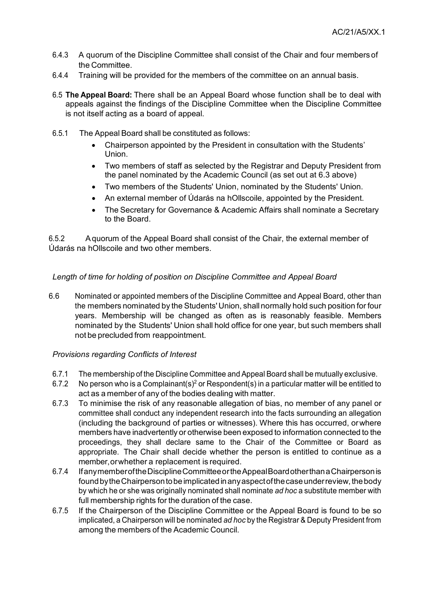- 6.4.3 A quorum of the Discipline Committee shall consist of the Chair and four members of the Committee.
- 6.4.4 Training will be provided for the members of the committee on an annual basis.
- 6.5 **The Appeal Board:** There shall be an Appeal Board whose function shall be to deal with appeals against the findings of the Discipline Committee when the Discipline Committee is not itself acting as a board of appeal.
- 6.5.1 The Appeal Board shall be constituted as follows:
	- Chairperson appointed by the President in consultation with the Students' Union.
	- Two members of staff as selected by the Registrar and Deputy President from the panel nominated by the Academic Council (as set out at 6.3 above)
	- Two members of the Students' Union, nominated by the Students' Union.
	- An external member of Údarás na hOllscoile, appointed by the President.
	- The Secretary for Governance & Academic Affairs shall nominate a Secretary to the Board.

6.5.2 A quorum of the Appeal Board shall consist of the Chair, the external member of Údarás na hOllscoile and two other members.

## *Length of time for holding of position on Discipline Committee and Appeal Board*

6.6 Nominated or appointed members of the Discipline Committee and Appeal Board, other than the members nominated by the Students' Union, shall normally hold such position for four years. Membership will be changed as often as is reasonably feasible. Members nominated by the Students' Union shall hold office for one year, but such members shall not be precluded from reappointment.

## *Provisions regarding Conflicts of Interest*

- 6.7.1 The membership of the Discipline Committee and Appeal Board shall be mutually exclusive.
- 6.7.2 No person who is a Complainant(s)<sup>2</sup> or Respondent(s) in a particular matter will be entitled to act as a member of any of the bodies dealing with matter.
- 6.7.3 To minimise the risk of any reasonable allegation of bias, no member of any panel or committee shall conduct any independent research into the facts surrounding an allegation (including the background of parties or witnesses). Where this has occurred, orwhere members have inadvertently or otherwise been exposed to information connected to the proceedings, they shall declare same to the Chair of the Committee or Board as appropriate. The Chair shall decide whether the person is entitled to continue as a member,orwhether a replacement is required.
- 6.7.4 IfanymemberoftheDisciplineCommitteeortheAppealBoardotherthan a Chairpersonis foundbytheChairpersontobeimplicatedinanyaspectofthecaseunderreview, thebody by which he or she was originally nominated shall nominate *ad hoc* a substitute member with full membership rights for the duration of the case.
- 6.7.5 If the Chairperson of the Discipline Committee or the Appeal Board is found to be so implicated, a Chairperson will be nominated *ad hoc* by the Registrar & Deputy President from among the members of the Academic Council.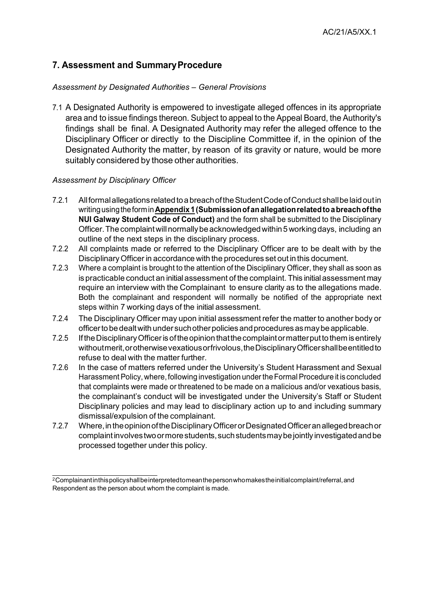# **7. Assessment and Summary Procedure**

## *Assessment by Designated Authorities – General Provisions*

7.1 A Designated Authority is empowered to investigate alleged offences in its appropriate area and to issue findings thereon. Subject to appeal to the Appeal Board, the Authority's findings shall be final. A Designated Authority may refer the alleged offence to the Disciplinary Officer or directly to the Discipline Committee if, in the opinion of the Designated Authority the matter, by reason of its gravity or nature, would be more suitably considered by those other authorities.

## *Assessment by Disciplinary Officer*

- 7.2.1 Allformalallegationsrelatedto a breachoftheStudentCodeofConductshallbelaidoutin writingusingtheformin**Appendix 1 (Submissionofanallegationrelatedto a breachofthe NUI Galway Student Code of Conduct)** and the form shall be submitted to the Disciplinary Officer. The complaint will normally be acknowledged within 5 working days, including an outline of the next steps in the disciplinary process.
- 7.2.2 All complaints made or referred to the Disciplinary Officer are to be dealt with by the DisciplinaryOfficer in accordance with the procedures set out in this document.
- 7.2.3 Where a complaint is brought to the attention of the Disciplinary Officer, they shall as soon as is practicable conduct an initial assessment of the complaint. This initial assessment may require an interview with the Complainant to ensure clarity as to the allegations made. Both the complainant and respondent will normally be notified of the appropriate next steps within 7 working days of the initial assessment.
- 7.2.4 The Disciplinary Officer may upon initial assessment refer the matter to another body or officertobedealtwithundersuchotherpoliciesandproceduresasmaybeapplicable.
- 7.2.5 If the Disciplinary Officer is of the opinion that the complaint or matter put to them is entirely withoutmerit,orotherwisevexatiousorfrivolous,theDisciplinaryOfficershallbeentitledto refuse to deal with the matter further.
- 7.2.6 In the case of matters referred under the University's Student Harassment and Sexual Harassment Policy, where, following investigation under the Formal Procedure it is concluded that complaints were made or threatened to be made on a malicious and/or vexatious basis, the complainant's conduct will be investigated under the University's Staff or Student Disciplinary policies and may lead to disciplinary action up to and including summary dismissal/expulsion of the complainant.
- 7.2.7 Where,intheopinionoftheDisciplinaryOfficerorDesignatedOfficeranallegedbreachor complaintinvolvestwoormorestudents,suchstudentsmaybejointly investigatedandbe processed together under this policy.

<sup>&</sup>lt;sup>2</sup> Complainant in this policy shall be interpreted to mean the person who makes the initial complaint/referral, and Respondent as the person about whom the complaint is made.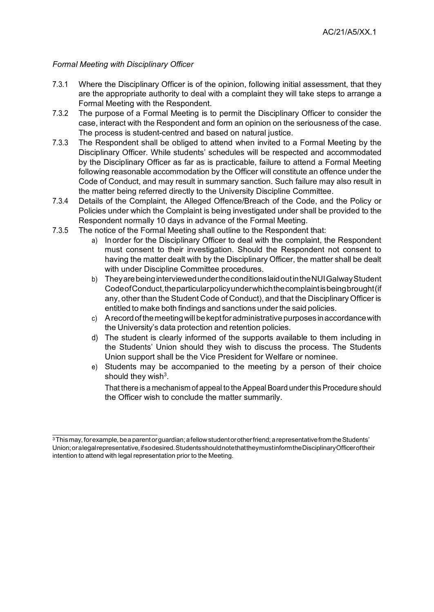#### *Formal Meeting with Disciplinary Officer*

- 7.3.1 Where the Disciplinary Officer is of the opinion, following initial assessment, that they are the appropriate authority to deal with a complaint they will take steps to arrange a Formal Meeting with the Respondent.
- 7.3.2 The purpose of a Formal Meeting is to permit the Disciplinary Officer to consider the case, interact with the Respondent and form an opinion on the seriousness of the case. The process is student-centred and based on natural justice.
- 7.3.3 The Respondent shall be obliged to attend when invited to a Formal Meeting by the Disciplinary Officer. While students' schedules will be respected and accommodated by the Disciplinary Officer as far as is practicable, failure to attend a Formal Meeting following reasonable accommodation by the Officer will constitute an offence under the Code of Conduct, and may result in summary sanction. Such failure may also result in the matter being referred directly to the University Discipline Committee.
- 7.3.4 Details of the Complaint, the Alleged Offence/Breach of the Code, and the Policy or Policies under which the Complaint is being investigated under shall be provided to the Respondent normally 10 days in advance of the Formal Meeting.
- 7.3.5 The notice of the Formal Meeting shall outline to the Respondent that:
	- a) Inorder for the Disciplinary Officer to deal with the complaint, the Respondent must consent to their investigation. Should the Respondent not consent to having the matter dealt with by the Disciplinary Officer, the matter shall be dealt with under Discipline Committee procedures.
	- b) TheyarebeinginterviewedundertheconditionslaidoutintheNUIGalwayStudent Code of Conduct, the particular policy under which the complaint is being brought (if any, other than the Student Code of Conduct), and that the Disciplinary Officer is entitled to make both findings and sanctions under the said policies.
	- c) A recordofthemeetingwillbekeptforadministrativepurposes inaccordancewith the University's data protection and retention policies.
	- d) The student is clearly informed of the supports available to them including in the Students' Union should they wish to discuss the process. The Students Union support shall be the Vice President for Welfare or nominee.
	- e) Students may be accompanied to the meeting by a person of their choice should they wish<sup>3</sup>.

That there is a mechanism of appeal to the Appeal Board under this Procedure should the Officer wish to conclude the matter summarily.

 $3$ Thismay, forexample, be a parentor guardian; a fellow studentor other friend; a representative from the Students' Union; or a legal representative, if sodesired. Students should note that they must inform the Disciplinary Officer of their intention to attend with legal representation prior to the Meeting.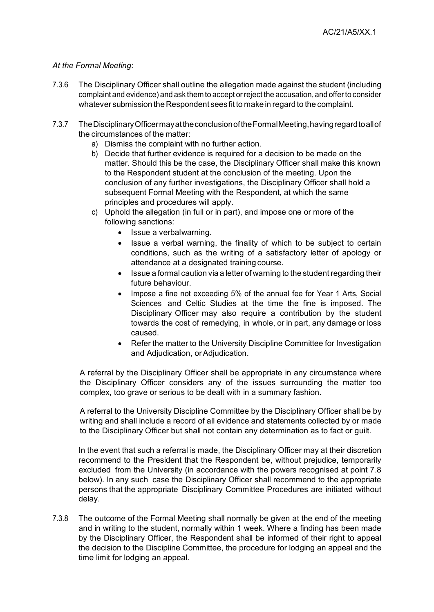## *At the Formal Meeting*:

- 7.3.6 The Disciplinary Officer shall outline the allegation made against the student (including complaint and evidence) and ask themto accept or reject the accusation, and offerto consider whatever submission the Respondent sees fit to make in regard to the complaint.
- 7.3.7 TheDisciplinaryOfficermayattheconclusionoftheFormalMeeting,havingregardtoallof the circumstances of the matter:
	- a) Dismiss the complaint with no further action.
	- b) Decide that further evidence is required for a decision to be made on the matter. Should this be the case, the Disciplinary Officer shall make this known to the Respondent student at the conclusion of the meeting. Upon the conclusion of any further investigations, the Disciplinary Officer shall hold a subsequent Formal Meeting with the Respondent, at which the same principles and procedures will apply.
	- c) Uphold the allegation (in full or in part), and impose one or more of the following sanctions:
		- Issue a verbalwarning.
		- Issue a verbal warning, the finality of which to be subject to certain conditions, such as the writing of a satisfactory letter of apology or attendance at a designated training course.
		- Issue a formal caution via a letter of warning to the student regarding their future behaviour.
		- Impose a fine not exceeding 5% of the annual fee for Year 1 Arts, Social Sciences and Celtic Studies at the time the fine is imposed. The Disciplinary Officer may also require a contribution by the student towards the cost of remedying, in whole, or in part, any damage or loss caused.
		- Refer the matter to the University Discipline Committee for Investigation and Adiudication, or Adiudication.

A referral by the Disciplinary Officer shall be appropriate in any circumstance where the Disciplinary Officer considers any of the issues surrounding the matter too complex, too grave or serious to be dealt with in a summary fashion.

A referral to the University Discipline Committee by the Disciplinary Officer shall be by writing and shall include a record of all evidence and statements collected by or made to the Disciplinary Officer but shall not contain any determination as to fact or guilt.

In the event that such a referral is made, the Disciplinary Officer may at their discretion recommend to the President that the Respondent be, without prejudice, temporarily excluded from the University (in accordance with the powers recognised at point 7.8 below). In any such case the Disciplinary Officer shall recommend to the appropriate persons that the appropriate Disciplinary Committee Procedures are initiated without delay.

7.3.8 The outcome of the Formal Meeting shall normally be given at the end of the meeting and in writing to the student, normally within 1 week. Where a finding has been made by the Disciplinary Officer, the Respondent shall be informed of their right to appeal the decision to the Discipline Committee, the procedure for lodging an appeal and the time limit for lodging an appeal.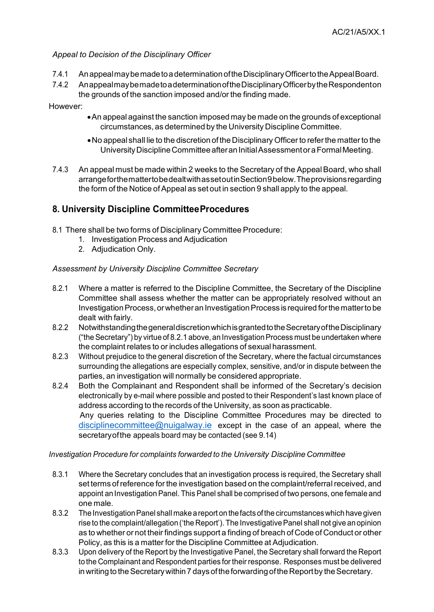## *Appeal to Decision of the Disciplinary Officer*

- 7.4.1 Anappealmaybemadetoa determinationoftheDisciplinaryOfficertotheAppealBoard.
- 7.4.2 Anappealmaybemadetoa determinationoftheDisciplinaryOfficerbytheRespondenton the grounds of the sanction imposed and/or the finding made.

#### However:

- •An appeal against the sanction imposed may be made on the grounds of exceptional circumstances, as determined by the University Discipline Committee.
- No appeal shall lie to the discretion of the Disciplinary Officer to refer the matter to the University Discipline Committee after an Initial Assessment or a Formal Meeting.
- 7.4.3 An appeal must be made within 2 weeks to the Secretary of the Appeal Board, who shall arrangeforthemattertobedealtwithassetoutinSection 9 below.Theprovisionsregarding the form of the Notice of Appeal as set out in section 9 shall apply to the appeal.

# **8. University Discipline CommitteeProcedures**

- 8.1 There shall be two forms of Disciplinary Committee Procedure:
	- 1. Investigation Process and Adjudication
	- 2. Adjudication Only.

## *Assessment by University Discipline Committee Secretary*

- 8.2.1 Where a matter is referred to the Discipline Committee, the Secretary of the Discipline Committee shall assess whether the matter can be appropriately resolved without an Investigation Process, or whether an Investigation Process is required for the matter to be dealt with fairly.
- 8.2.2 NotwithstandingthegeneraldiscretionwhichisgrantedtotheSecretaryoftheDisciplinary ("the Secretary") by virtue of 8.2.1 above, an Investigation Process must be undertaken where the complaint relates to or includes allegations of sexual harassment.
- 8.2.3 Without prejudice to the general discretion of the Secretary, where the factual circumstances surrounding the allegations are especially complex, sensitive, and/or in dispute between the parties, an investigation will normally be considered appropriate.
- 8.2.4 Both the Complainant and Respondent shall be informed of the Secretary's decision electronically by e-mail where possible and posted to their Respondent's last known place of address according to the records of the University, as soon as practicable. Any queries relating to the Discipline Committee Procedures may be directed to [disciplinecommittee@nuigalway.ie](mailto:disciplinecommittee@nuigalway.ie) except in the case of an appeal, where the secretaryofthe appeals board may be contacted (see 9.14)

#### *Investigation Procedure for complaints forwarded to the University Discipline Committee*

- 8.3.1 Where the Secretary concludes that an investigation process is required, the Secretary shall set terms of reference for the investigation based on the complaint/referral received, and appoint an Investigation Panel. This Panel shall be comprised of two persons, one female and one male.
- 8.3.2 The InvestigationPanel shall make a report on thefacts ofthe circumstanceswhich have given rise to the complaint/allegation ('the Report'). The Investigative Panel shall not give an opinion as to whether or not their findings support a finding of breach of Code of Conduct or other Policy, as this is a matter for the Discipline Committee at Adjudication.
- 8.3.3 Upon delivery of the Report by the Investigative Panel, the Secretary shall forward the Report to the Complainant and Respondent parties for their response. Responses must be delivered in writing to the Secretary within 7 days of the forwarding of the Report by the Secretary.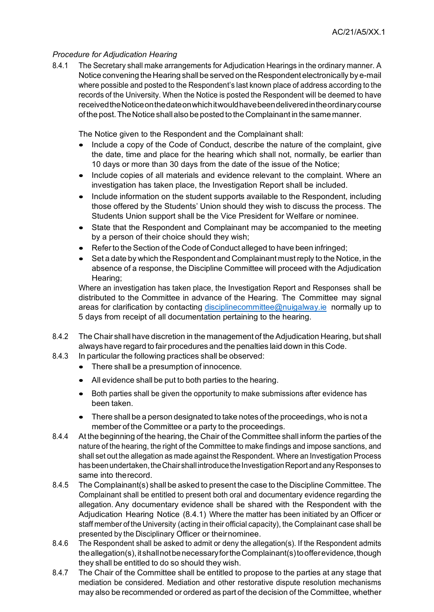#### *Procedure for Adjudication Hearing*

8.4.1 The Secretary shall make arrangements for Adjudication Hearings in the ordinary manner. A Notice convening the Hearing shall be served on the Respondent electronically by e-mail where possible and posted to the Respondent's last known place of address according to the records of the University. When the Notice is posted the Respondent will be deemed to have receivedtheNoticeonthedateonwhichitwouldhavebeendeliveredintheordinarycourse of the post.TheNotice shallalso be posted to the Complainant in the samemanner.

The Notice given to the Respondent and the Complainant shall:

- Include a copy of the Code of Conduct, describe the nature of the complaint, give the date, time and place for the hearing which shall not, normally, be earlier than 10 days or more than 30 days from the date of the issue of the Notice;
- Include copies of all materials and evidence relevant to the complaint. Where an investigation has taken place, the Investigation Report shall be included.
- Include information on the student supports available to the Respondent, including those offered by the Students' Union should they wish to discuss the process. The Students Union support shall be the Vice President for Welfare or nominee.
- State that the Respondent and Complainant may be accompanied to the meeting by a person of their choice should they wish;
- Refer to the Section of the Code of Conduct alleged to have been infringed;
- Set a date by which the Respondent and Complainant mustreply to the Notice, in the absence of a response, the Discipline Committee will proceed with the Adjudication Hearing;

Where an investigation has taken place, the Investigation Report and Responses shall be distributed to the Committee in advance of the Hearing. The Committee may signal areas for clarification by contacting [disciplinecommittee@nuigalway.ie](mailto:disciplinecommittee@nuigalway.ie) normally up to 5 days from receipt of all documentation pertaining to the hearing.

- 8.4.2 The Chair shall have discretion in the management of the Adjudication Hearing, but shall always have regard to fair procedures and the penalties laid down in this Code.
- 8.4.3 In particular the following practices shall be observed:
	- There shall be a presumption of innocence.
	- All evidence shall be put to both parties to the hearing.
	- Both parties shall be given the opportunity to make submissions after evidence has been taken.
	- There shall be a person designated to take notes of the proceedings, who is not a member of the Committee or a party to the proceedings.
- 8.4.4 At the beginning of the hearing, the Chair of the Committee shall inform the parties of the nature of the hearing, the right of the Committee to make findings and impose sanctions, and shall set out the allegation as made against the Respondent. Where an Investigation Process has been undertaken, the Chair shall introduce the Investigation Report and any Responses to same into therecord.
- 8.4.5 The Complainant(s) shall be asked to present the case to the Discipline Committee. The Complainant shall be entitled to present both oral and documentary evidence regarding the allegation. Any documentary evidence shall be shared with the Respondent with the Adjudication Hearing Notice (8.4.1) Where the matter has been initiated by an Officer or staff member of the University (acting in their official capacity), the Complainant case shall be presented by the Disciplinary Officer or theirnominee.
- 8.4.6 The Respondent shall be asked to admit or deny the allegation(s). If the Respondent admits the allegation(s), it shall not be necessary for the Complainant(s) to offer evidence, though they shall be entitled to do so should they wish.
- 8.4.7 The Chair of the Committee shall be entitled to propose to the parties at any stage that mediation be considered. Mediation and other restorative dispute resolution mechanisms may also be recommended or ordered as part of the decision of the Committee, whether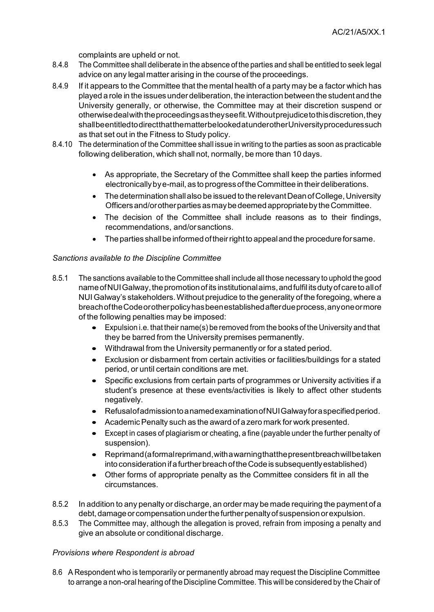complaints are upheld or not.

- 8.4.8 The Committee shall deliberate in the absence of the parties and shall be entitled to seek legal advice on any legal matter arising in the course of the proceedings.
- 8.4.9 If it appears to the Committee that the mental health of a party may be a factor which has played a role in the issuesunderdeliberation,the interaction betweenthe studentandthe University generally, or otherwise, the Committee may at their discretion suspend or otherwisedealwiththeproceedingsastheyseefit.Withoutprejudicetothisdiscretion,they shallbeentitledtodirectthatthematterbelookedatunderotherUniversityproceduressuch as that set out in the Fitness to Study policy.
- 8.4.10 The determination of the Committee shall issue in writing to the parties as soon as practicable following deliberation, which shall not, normally, be more than 10 days.
	- As appropriate, the Secretary of the Committee shall keep the parties informed electronically by e-mail, as to progress of the Committee in their deliberations.
	- The determination shall also be issued to the relevant Dean of College, University Officers and/or other parties as may be deemed appropriate by the Committee.
	- The decision of the Committee shall include reasons as to their findings, recommendations, and/orsanctions.
	- The parties shall be informed of their right to appeal and the procedure for same.

#### *Sanctions available to the Discipline Committee*

- 8.5.1 The sanctions available to the Committee shall include all those necessary to uphold the good nameofNUIGalway,thepromotionof its institutionalaims,andfulfil itsdutyofcaretoallof NUI Galway's stakeholders.Without prejudice to the generality of the foregoing, where a breachoftheCodeorotherpolicyhasbeenestablishedafterdueprocess,anyoneormore of the following penalties may be imposed:
	- Expulsion i.e. that their name(s) be removed from the books of the University and that they be barred from the University premises permanently.
	- Withdrawal from the University permanently or for a stated period.
	- Exclusion or disbarment from certain activities or facilities/buildings for a stated period, or until certain conditions are met.
	- Specific exclusions from certain parts of programmes or University activities if a student's presence at these events/activities is likely to affect other students negatively.
	- Refusalofadmissionto a namedexaminationofNUIGalwayfor a specifiedperiod.
	- Academic Penalty such as the award of a zero mark for work presented.
	- Except in cases of plagiarism or cheating, a fine (payable under the further penalty of suspension).
	- Reprimand(aformalreprimand,with a warningthatthepresentbreachwillbetaken into consideration if a further breach of the Code is subsequently established)
	- Other forms of appropriate penalty as the Committee considers fit in all the circumstances.
- 8.5.2 In addition to any penalty or discharge, an order may be made requiring the payment of a debt, damage or compensation under the further penalty of suspension or expulsion.
- 8.5.3 The Committee may, although the allegation is proved, refrain from imposing a penalty and give an absolute or conditional discharge.

#### *Provisions where Respondent is abroad*

8.6 A Respondent who is temporarily or permanently abroad may request the Discipline Committee to arrange a non-oral hearing of the Discipline Committee. This will be considered by the Chair of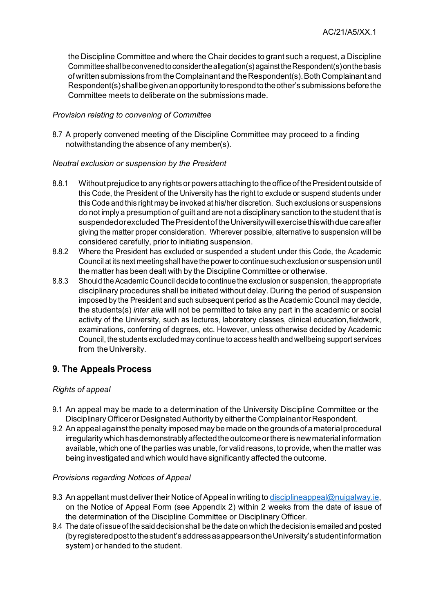the Discipline Committee and where the Chair decides to grant such a request, a Discipline Committeeshallbeconvenedtoconsidertheallegation(s)againsttheRespondent(s)onthebasis ofwrittensubmissions from theComplainantandtheRespondent(s).BothComplainantand Respondent(s)shallbegivenanopportunitytorespondtotheother'ssubmissionsbeforethe Committee meets to deliberate on the submissions made.

## *Provision relating to convening of Committee*

8.7 A properly convened meeting of the Discipline Committee may proceed to a finding notwithstanding the absence of any member(s).

## *Neutral exclusion or suspension by the President*

- 8.8.1 Without prejudice to any rights or powers attaching to the office of the President outside of this Code, the President of the University has the right to exclude or suspend students under this Code and this right may be invoked at his/her discretion. Such exclusions or suspensions do not implya presumption of guilt and are not a disciplinary sanction to the student that is suspended or excluded The President of the University will exercise this with due care after giving the matter proper consideration. Wherever possible, alternative to suspension will be considered carefully, prior to initiating suspension.
- 8.8.2 Where the President has excluded or suspended a student under this Code, the Academic Council at its next meeting shall have the powerto continue such exclusion or suspension until the matter has been dealt with by the Discipline Committee or otherwise.
- 8.8.3 Should the Academic Council decide to continue the exclusion or suspension, the appropriate disciplinary procedures shall be initiated without delay. During the period of suspension imposed by the President and such subsequent period as the Academic Council may decide, the students(s) *inter alia* will not be permitted to take any part in the academic or social activity of the University, such as lectures, laboratory classes, clinical education,fieldwork, examinations, conferring of degrees, etc. However, unless otherwise decided by Academic Council, the students excluded may continue to access health and wellbeing support services from the University.

# **9. The Appeals Process**

## *Rights of appeal*

- 9.1 An appeal may be made to a determination of the University Discipline Committee or the Disciplinary Officer or Designated Authority by either the Complainant or Respondent.
- 9.2 An appeal against the penalty imposed may be made on the grounds of a material procedural irregularity which has demonstrably affected the outcome or there is new material information available, which one of the parties was unable, for valid reasons, to provide, when the matter was being investigated and which would have significantly affected the outcome.

#### *Provisions regarding Notices of Appeal*

- 9.3 An appellant must deliver their Notice of Appeal in writing to disciplineappeal@nuigalway.ie. on the Notice of Appeal Form (see Appendix 2) within 2 weeks from the date of issue of the determination of the Discipline Committee or Disciplinary Officer.
- 9.4 The date of issue of the said decision shall be the date on which the decision is emailed and posted (byregisteredposttothestudent'saddressasappearsontheUniversity'sstudentinformation system) or handed to the student.